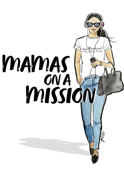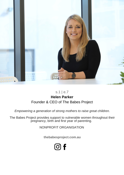

## s.1 | e.7 **Helen Parker** Founder & CEO of The Babes Project

*Empowering a generation of strong mothers to raise great children.*

The Babes Project provides support to vulnerable women throughout their pregnancy, birth and first year of parenting.

NONPROFIT ORGANISATION

**[thebabesproject.com.au](https://www.thebabesproject.com.au/)**

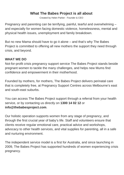## **What The Babes Project is all about**

Created by Helen Parker - Founder & CEO

Pregnancy and parenting can be terrifying, painful, tearful and overwhelming – and especially for women facing domestic violence, homelessness, mental and physical health issues, unemployment and family breakdown.

But no new Mama should have to go it alone – and that's why The Babes Project is committed to offering all new mothers the support they need through crisis, and beyond.

## **WHAT WE DO**

Not-for-profit crisis pregnancy support service The Babes Project stands beside pregnant women to tackle the many challenges, and helps new Mums find confidence and empowerment in their motherhood.

Founded by mothers, for mothers, The Babes Project delivers perinatal care that is completely free, at Pregnancy Support Centres across Melbourne's east and south-east suburbs.

You can access The Babes Project support through a referral from your health service, or by contacting us directly on **1300 14 02 12** or **info@thebabesproject.com**.

Our holistic operation supports women from any stage of pregnancy, and through the first crucial year of baby's life. Staff and volunteers ensure that clients receive regular emotional care, practical advice and workshops, advocacy to other health services, and vital supplies for parenting, all in a safe and nurturing environment.

The independent service model is a first for Australia, and since launching in 2009, The Babes Project has supported hundreds of women experiencing crisis pregnancy.